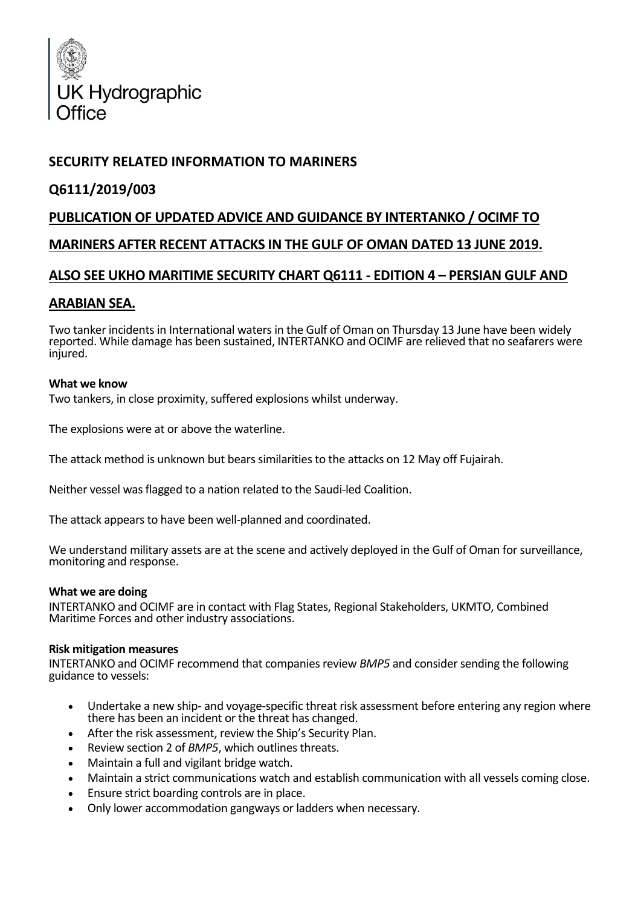

# **SECURITY RELATED INFORMATION TO MARINERS**

## **Q6111/2019/003**

# **PUBLICATION OF UPDATED ADVICE AND GUIDANCE BY INTERTANKO / OCIMF TO MARINERS AFTER RECENT ATTACKS IN THE GULF OF OMAN DATED 13 JUNE 2019.**

# **ALSO SEE UKHO MARITIME SECURITY CHART Q6111 - EDITION 4 – PERSIAN GULF AND**

## **ARABIAN SEA.**

Two tanker incidents in International waters in the Gulf of Oman on Thursday 13 June have been widely reported. While damage has been sustained, INTERTANKO and OCIMF are relieved that no seafarers were injured.

## **What we know**

Two tankers, in close proximity, suffered explosions whilst underway.

The explosions were at or above the waterline.

The attack method is unknown but bears similarities to the attacks on 12 May off Fujairah.

Neither vessel was flagged to a nation related to the Saudi-led Coalition.

The attack appears to have been well-planned and coordinated.

We understand military assets are at the scene and actively deployed in the Gulf of Oman for surveillance, monitoring and response.

#### **What we are doing**

INTERTANKO and OCIMF are in contact with Flag States, Regional Stakeholders, UKMTO, Combined Maritime Forces and other industry associations.

#### **Risk mitigation measures**

INTERTANKO and OCIMF recommend that companies review *BMP5* and consider sending the following guidance to vessels:

- Undertake a new ship- and voyage-specific threat risk assessment before entering any region where there has been an incident or the threat has changed.
- After the risk assessment, review the Ship's Security Plan.
- Review section 2 of *BMP5*, which outlines threats.
- Maintain a full and vigilant bridge watch.
- Maintain a strict communications watch and establish communication with all vessels coming close.
- Ensure strict boarding controls are in place.
- Only lower accommodation gangways or ladders when necessary.